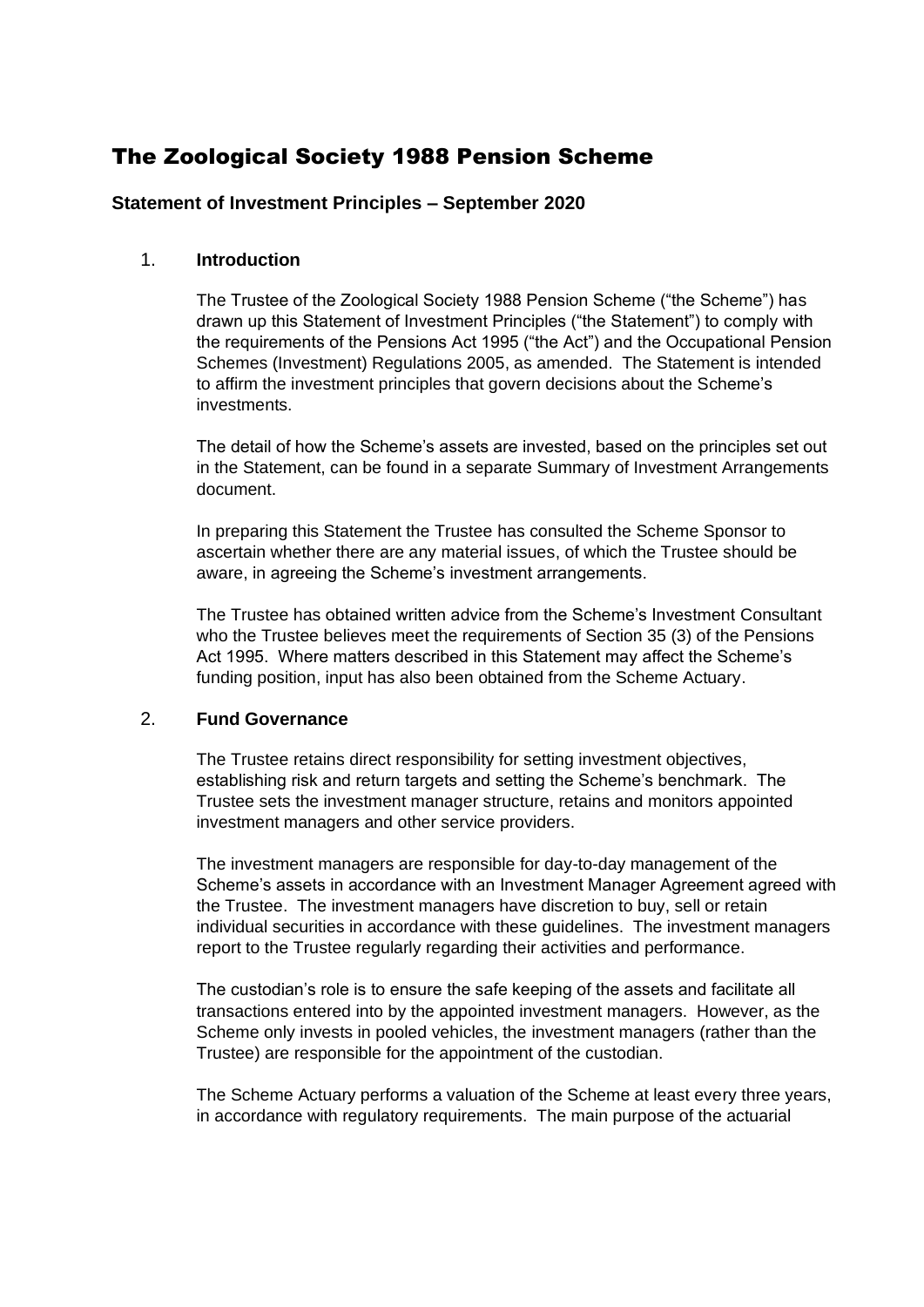# The Zoological Society 1988 Pension Scheme

# **Statement of Investment Principles – September 2020**

# 1. **Introduction**

The Trustee of the Zoological Society 1988 Pension Scheme ("the Scheme") has drawn up this Statement of Investment Principles ("the Statement") to comply with the requirements of the Pensions Act 1995 ("the Act") and the Occupational Pension Schemes (Investment) Regulations 2005, as amended. The Statement is intended to affirm the investment principles that govern decisions about the Scheme's investments.

The detail of how the Scheme's assets are invested, based on the principles set out in the Statement, can be found in a separate Summary of Investment Arrangements document.

In preparing this Statement the Trustee has consulted the Scheme Sponsor to ascertain whether there are any material issues, of which the Trustee should be aware, in agreeing the Scheme's investment arrangements.

The Trustee has obtained written advice from the Scheme's Investment Consultant who the Trustee believes meet the requirements of Section 35 (3) of the Pensions Act 1995. Where matters described in this Statement may affect the Scheme's funding position, input has also been obtained from the Scheme Actuary.

# 2. **Fund Governance**

The Trustee retains direct responsibility for setting investment objectives, establishing risk and return targets and setting the Scheme's benchmark. The Trustee sets the investment manager structure, retains and monitors appointed investment managers and other service providers.

The investment managers are responsible for day-to-day management of the Scheme's assets in accordance with an Investment Manager Agreement agreed with the Trustee. The investment managers have discretion to buy, sell or retain individual securities in accordance with these guidelines. The investment managers report to the Trustee regularly regarding their activities and performance.

The custodian's role is to ensure the safe keeping of the assets and facilitate all transactions entered into by the appointed investment managers. However, as the Scheme only invests in pooled vehicles, the investment managers (rather than the Trustee) are responsible for the appointment of the custodian.

The Scheme Actuary performs a valuation of the Scheme at least every three years, in accordance with regulatory requirements. The main purpose of the actuarial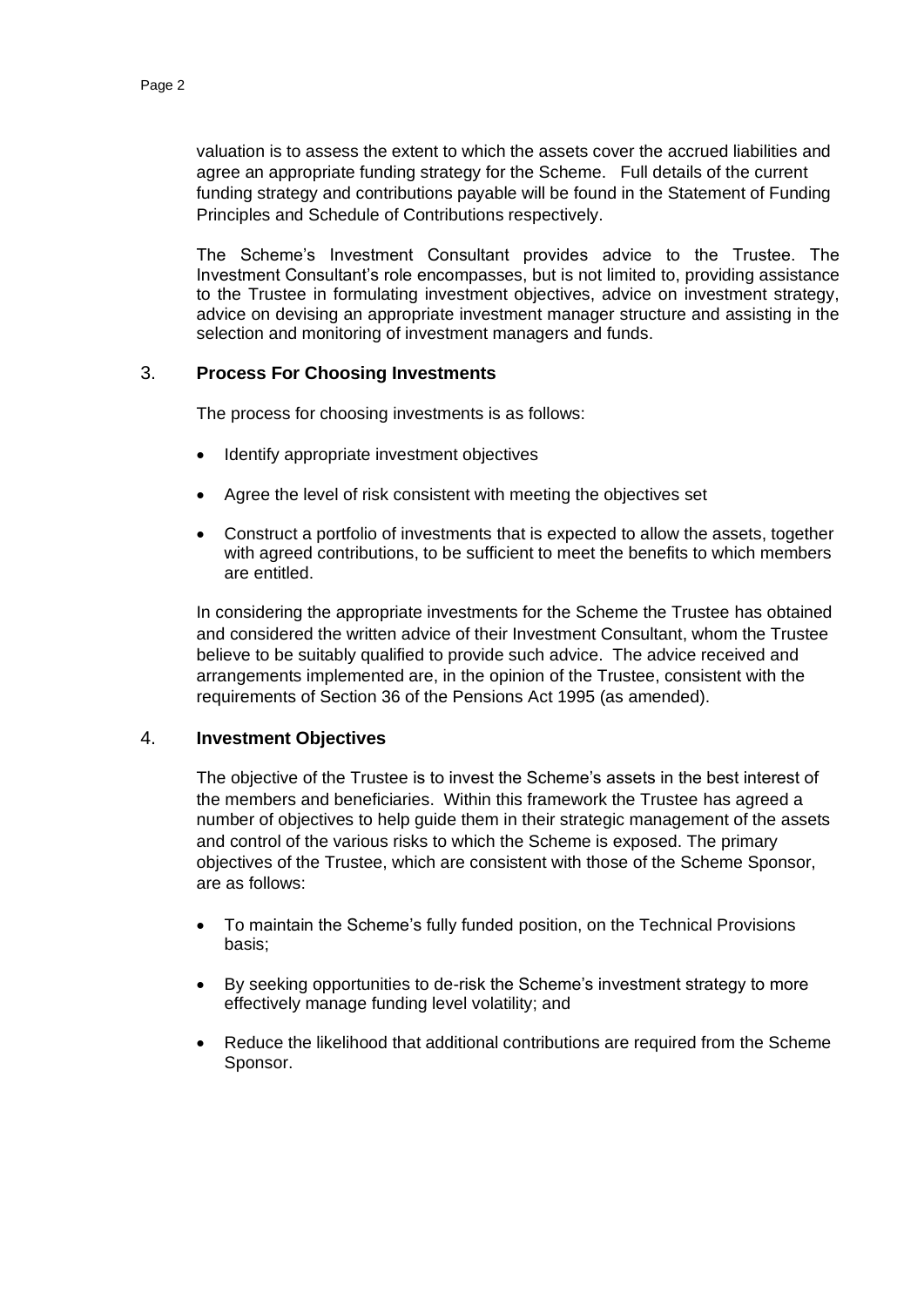valuation is to assess the extent to which the assets cover the accrued liabilities and agree an appropriate funding strategy for the Scheme. Full details of the current funding strategy and contributions payable will be found in the Statement of Funding Principles and Schedule of Contributions respectively.

The Scheme's Investment Consultant provides advice to the Trustee. The Investment Consultant's role encompasses, but is not limited to, providing assistance to the Trustee in formulating investment objectives, advice on investment strategy, advice on devising an appropriate investment manager structure and assisting in the selection and monitoring of investment managers and funds.

## 3. **Process For Choosing Investments**

The process for choosing investments is as follows:

- Identify appropriate investment objectives
- Agree the level of risk consistent with meeting the objectives set
- Construct a portfolio of investments that is expected to allow the assets, together with agreed contributions, to be sufficient to meet the benefits to which members are entitled.

In considering the appropriate investments for the Scheme the Trustee has obtained and considered the written advice of their Investment Consultant, whom the Trustee believe to be suitably qualified to provide such advice. The advice received and arrangements implemented are, in the opinion of the Trustee, consistent with the requirements of Section 36 of the Pensions Act 1995 (as amended).

#### 4. **Investment Objectives**

The objective of the Trustee is to invest the Scheme's assets in the best interest of the members and beneficiaries. Within this framework the Trustee has agreed a number of objectives to help guide them in their strategic management of the assets and control of the various risks to which the Scheme is exposed. The primary objectives of the Trustee, which are consistent with those of the Scheme Sponsor, are as follows:

- To maintain the Scheme's fully funded position, on the Technical Provisions basis;
- By seeking opportunities to de-risk the Scheme's investment strategy to more effectively manage funding level volatility; and
- Reduce the likelihood that additional contributions are required from the Scheme Sponsor.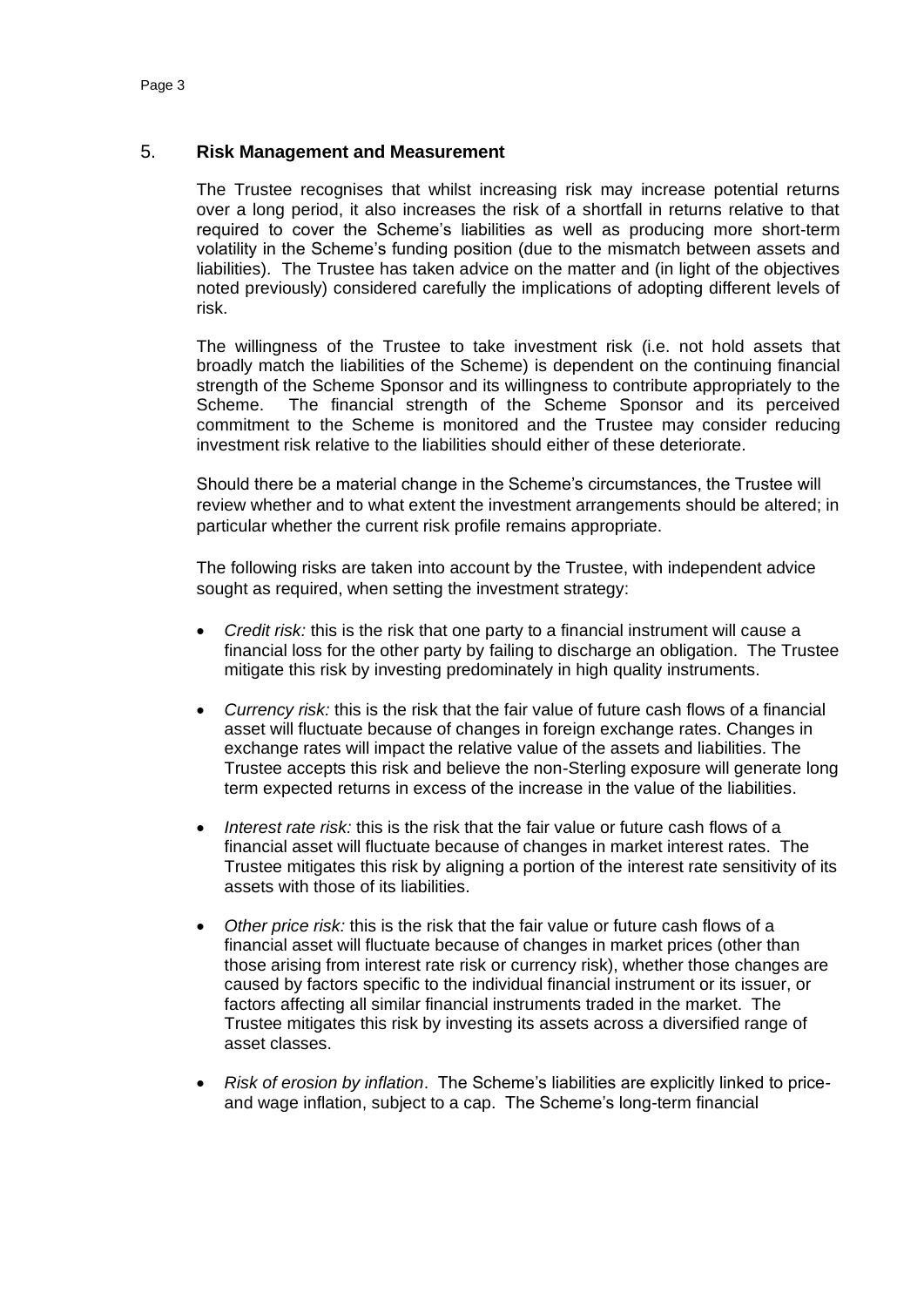## 5. **Risk Management and Measurement**

The Trustee recognises that whilst increasing risk may increase potential returns over a long period, it also increases the risk of a shortfall in returns relative to that required to cover the Scheme's liabilities as well as producing more short-term volatility in the Scheme's funding position (due to the mismatch between assets and liabilities). The Trustee has taken advice on the matter and (in light of the objectives noted previously) considered carefully the implications of adopting different levels of risk.

The willingness of the Trustee to take investment risk (i.e. not hold assets that broadly match the liabilities of the Scheme) is dependent on the continuing financial strength of the Scheme Sponsor and its willingness to contribute appropriately to the Scheme. The financial strength of the Scheme Sponsor and its perceived commitment to the Scheme is monitored and the Trustee may consider reducing investment risk relative to the liabilities should either of these deteriorate.

Should there be a material change in the Scheme's circumstances, the Trustee will review whether and to what extent the investment arrangements should be altered; in particular whether the current risk profile remains appropriate.

The following risks are taken into account by the Trustee, with independent advice sought as required, when setting the investment strategy:

- *Credit risk:* this is the risk that one party to a financial instrument will cause a financial loss for the other party by failing to discharge an obligation. The Trustee mitigate this risk by investing predominately in high quality instruments.
- *Currency risk:* this is the risk that the fair value of future cash flows of a financial asset will fluctuate because of changes in foreign exchange rates. Changes in exchange rates will impact the relative value of the assets and liabilities. The Trustee accepts this risk and believe the non-Sterling exposure will generate long term expected returns in excess of the increase in the value of the liabilities.
- *Interest rate risk:* this is the risk that the fair value or future cash flows of a financial asset will fluctuate because of changes in market interest rates. The Trustee mitigates this risk by aligning a portion of the interest rate sensitivity of its assets with those of its liabilities.
- *Other price risk:* this is the risk that the fair value or future cash flows of a financial asset will fluctuate because of changes in market prices (other than those arising from interest rate risk or currency risk), whether those changes are caused by factors specific to the individual financial instrument or its issuer, or factors affecting all similar financial instruments traded in the market. The Trustee mitigates this risk by investing its assets across a diversified range of asset classes.
- *Risk of erosion by inflation*. The Scheme's liabilities are explicitly linked to priceand wage inflation, subject to a cap. The Scheme's long-term financial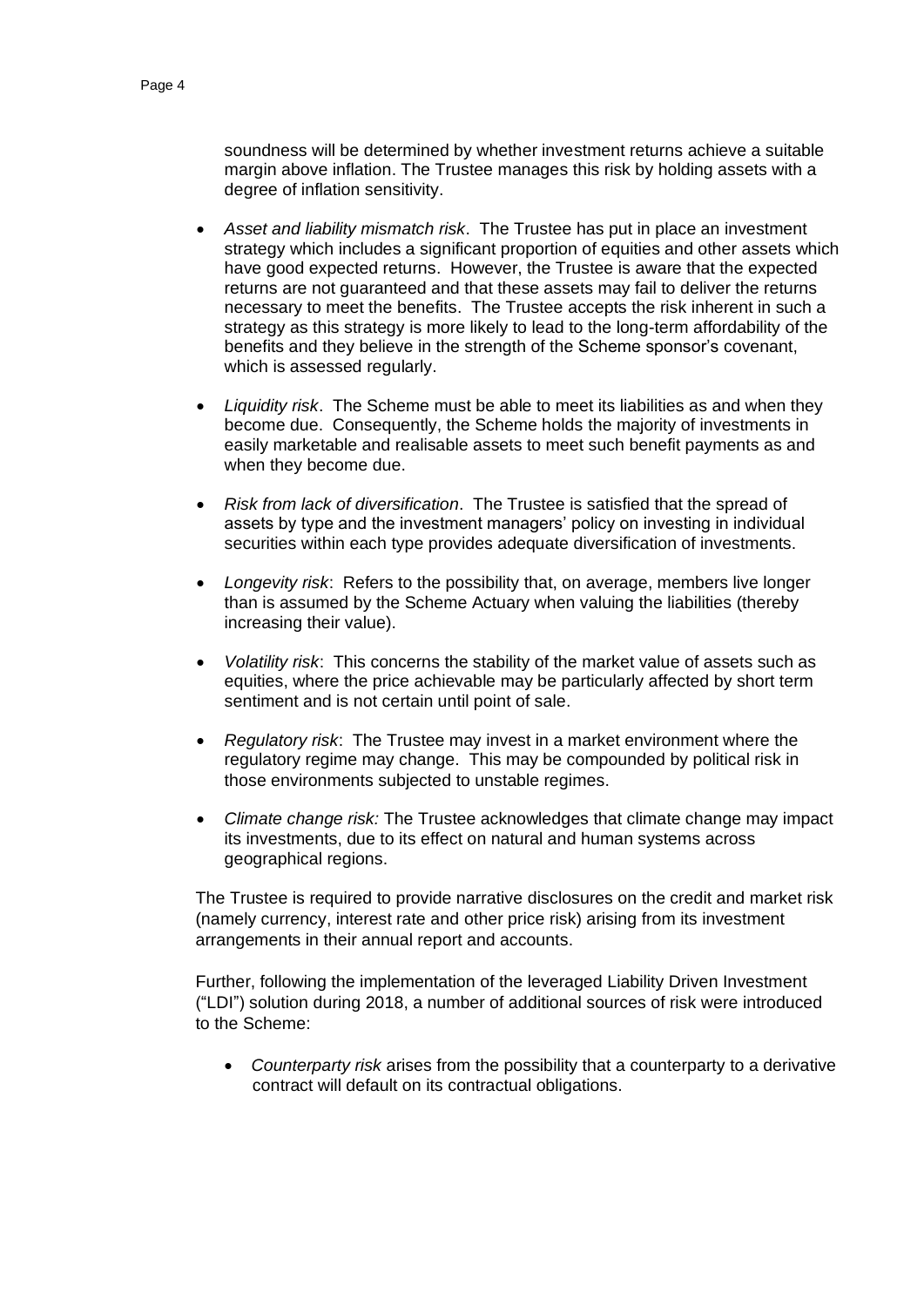soundness will be determined by whether investment returns achieve a suitable margin above inflation. The Trustee manages this risk by holding assets with a degree of inflation sensitivity.

- *Asset and liability mismatch risk*. The Trustee has put in place an investment strategy which includes a significant proportion of equities and other assets which have good expected returns. However, the Trustee is aware that the expected returns are not guaranteed and that these assets may fail to deliver the returns necessary to meet the benefits. The Trustee accepts the risk inherent in such a strategy as this strategy is more likely to lead to the long-term affordability of the benefits and they believe in the strength of the Scheme sponsor's covenant, which is assessed regularly.
- *Liquidity risk*. The Scheme must be able to meet its liabilities as and when they become due. Consequently, the Scheme holds the majority of investments in easily marketable and realisable assets to meet such benefit payments as and when they become due.
- *Risk from lack of diversification*. The Trustee is satisfied that the spread of assets by type and the investment managers' policy on investing in individual securities within each type provides adequate diversification of investments.
- *Longevity risk*: Refers to the possibility that, on average, members live longer than is assumed by the Scheme Actuary when valuing the liabilities (thereby increasing their value).
- *Volatility risk*: This concerns the stability of the market value of assets such as equities, where the price achievable may be particularly affected by short term sentiment and is not certain until point of sale.
- *Regulatory risk*: The Trustee may invest in a market environment where the regulatory regime may change. This may be compounded by political risk in those environments subjected to unstable regimes.
- *Climate change risk:* The Trustee acknowledges that climate change may impact its investments, due to its effect on natural and human systems across geographical regions.

The Trustee is required to provide narrative disclosures on the credit and market risk (namely currency, interest rate and other price risk) arising from its investment arrangements in their annual report and accounts.

Further, following the implementation of the leveraged Liability Driven Investment ("LDI") solution during 2018, a number of additional sources of risk were introduced to the Scheme:

• *Counterparty risk* arises from the possibility that a counterparty to a derivative contract will default on its contractual obligations.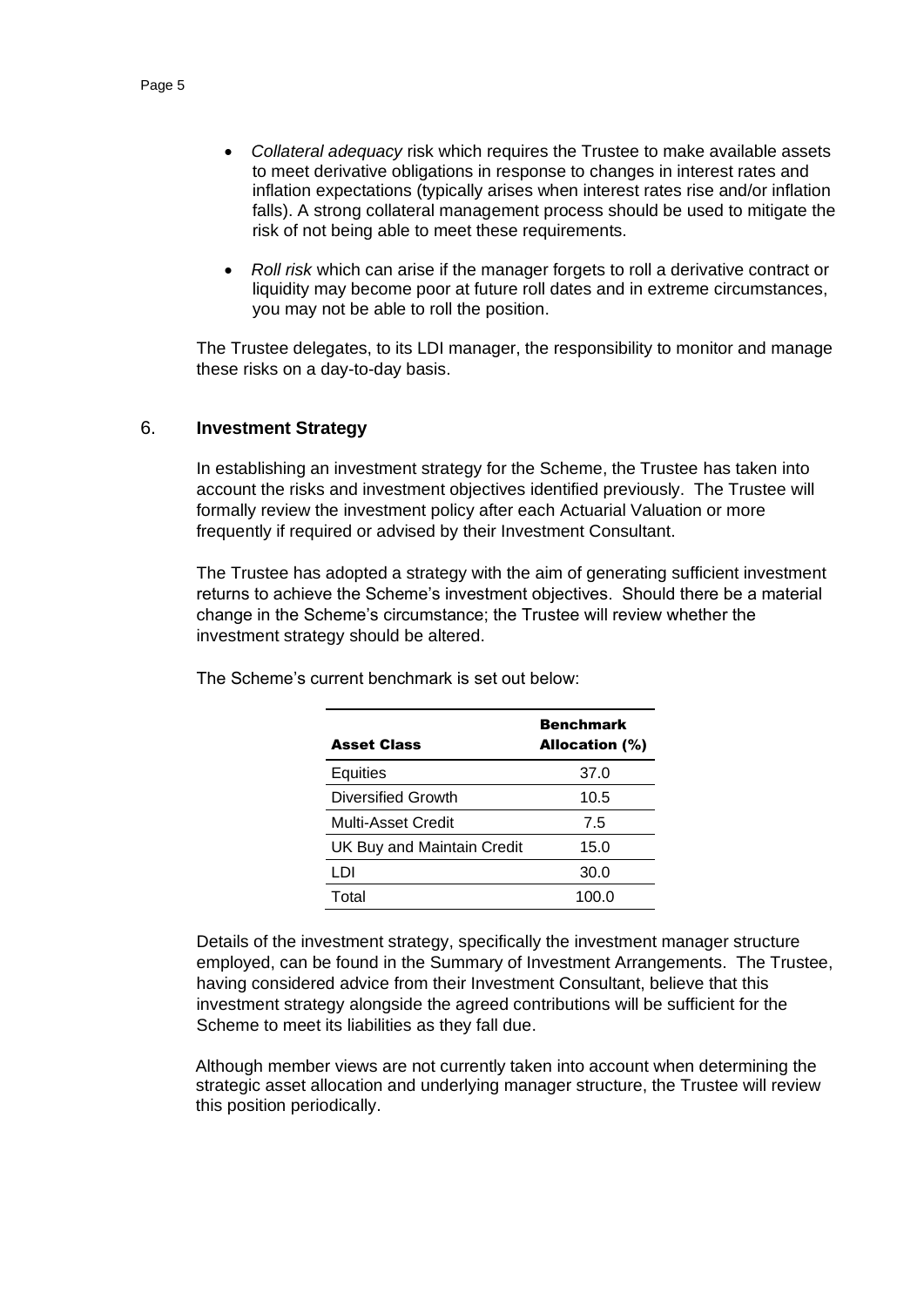- *Collateral adequacy* risk which requires the Trustee to make available assets to meet derivative obligations in response to changes in interest rates and inflation expectations (typically arises when interest rates rise and/or inflation falls). A strong collateral management process should be used to mitigate the risk of not being able to meet these requirements.
- *Roll risk* which can arise if the manager forgets to roll a derivative contract or liquidity may become poor at future roll dates and in extreme circumstances, you may not be able to roll the position.

The Trustee delegates, to its LDI manager, the responsibility to monitor and manage these risks on a day-to-day basis.

#### 6. **Investment Strategy**

In establishing an investment strategy for the Scheme, the Trustee has taken into account the risks and investment objectives identified previously. The Trustee will formally review the investment policy after each Actuarial Valuation or more frequently if required or advised by their Investment Consultant.

The Trustee has adopted a strategy with the aim of generating sufficient investment returns to achieve the Scheme's investment objectives. Should there be a material change in the Scheme's circumstance; the Trustee will review whether the investment strategy should be altered.

| <b>Asset Class</b>                | <b>Benchmark</b><br>Allocation (%) |
|-----------------------------------|------------------------------------|
| Equities                          | 37.0                               |
| Diversified Growth                | 10.5                               |
| Multi-Asset Credit                | 7.5                                |
| <b>UK Buy and Maintain Credit</b> | 15.0                               |
| LDI                               | 30.0                               |
| Total                             | 100.0                              |

The Scheme's current benchmark is set out below:

Details of the investment strategy, specifically the investment manager structure employed, can be found in the Summary of Investment Arrangements. The Trustee, having considered advice from their Investment Consultant, believe that this investment strategy alongside the agreed contributions will be sufficient for the Scheme to meet its liabilities as they fall due.

Although member views are not currently taken into account when determining the strategic asset allocation and underlying manager structure, the Trustee will review this position periodically.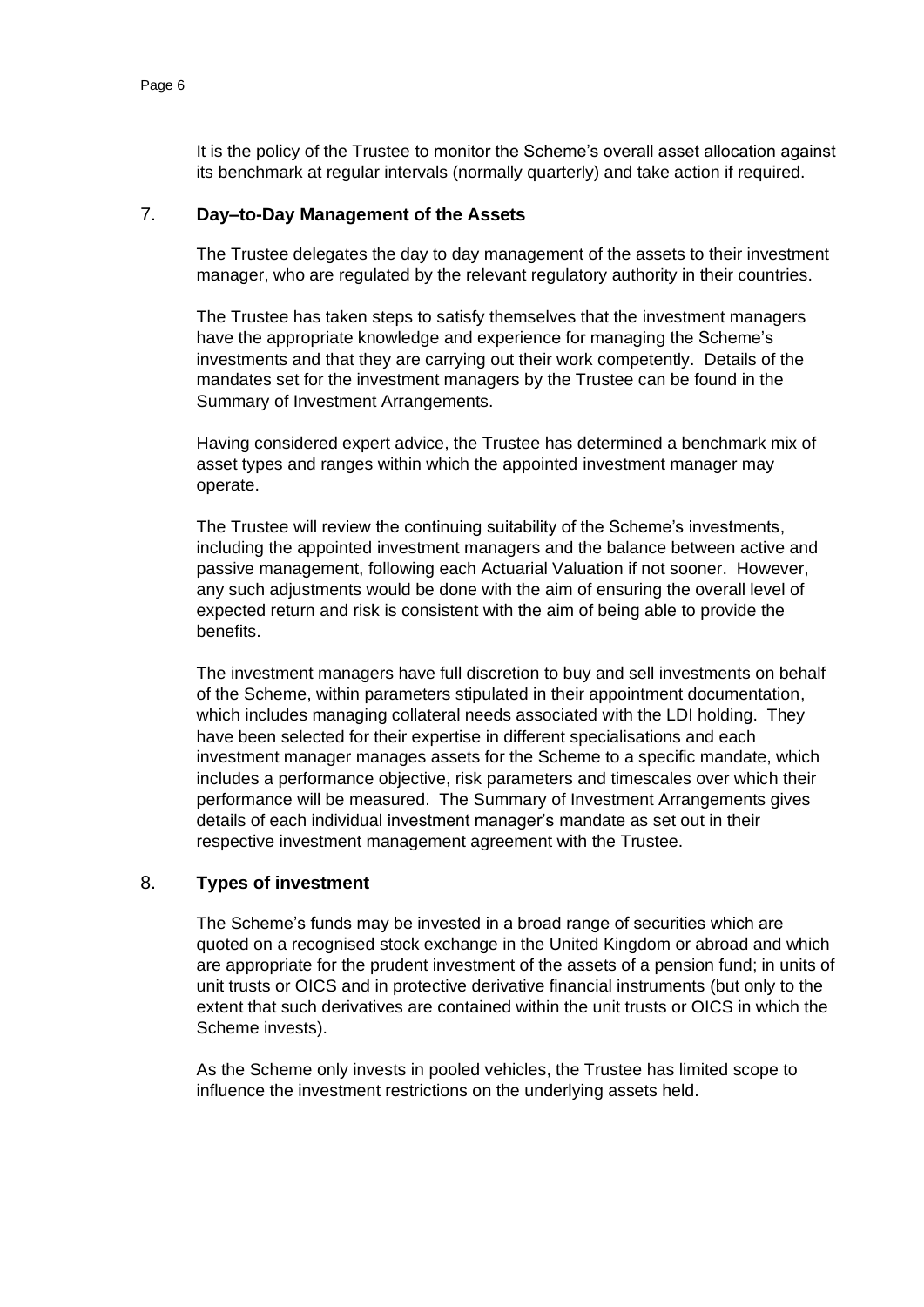It is the policy of the Trustee to monitor the Scheme's overall asset allocation against its benchmark at regular intervals (normally quarterly) and take action if required.

## 7. **Day–to-Day Management of the Assets**

The Trustee delegates the day to day management of the assets to their investment manager, who are regulated by the relevant regulatory authority in their countries.

The Trustee has taken steps to satisfy themselves that the investment managers have the appropriate knowledge and experience for managing the Scheme's investments and that they are carrying out their work competently. Details of the mandates set for the investment managers by the Trustee can be found in the Summary of Investment Arrangements.

Having considered expert advice, the Trustee has determined a benchmark mix of asset types and ranges within which the appointed investment manager may operate.

The Trustee will review the continuing suitability of the Scheme's investments, including the appointed investment managers and the balance between active and passive management, following each Actuarial Valuation if not sooner. However, any such adjustments would be done with the aim of ensuring the overall level of expected return and risk is consistent with the aim of being able to provide the benefits.

The investment managers have full discretion to buy and sell investments on behalf of the Scheme, within parameters stipulated in their appointment documentation, which includes managing collateral needs associated with the LDI holding. They have been selected for their expertise in different specialisations and each investment manager manages assets for the Scheme to a specific mandate, which includes a performance objective, risk parameters and timescales over which their performance will be measured. The Summary of Investment Arrangements gives details of each individual investment manager's mandate as set out in their respective investment management agreement with the Trustee.

## 8. **Types of investment**

The Scheme's funds may be invested in a broad range of securities which are quoted on a recognised stock exchange in the United Kingdom or abroad and which are appropriate for the prudent investment of the assets of a pension fund; in units of unit trusts or OICS and in protective derivative financial instruments (but only to the extent that such derivatives are contained within the unit trusts or OICS in which the Scheme invests).

As the Scheme only invests in pooled vehicles, the Trustee has limited scope to influence the investment restrictions on the underlying assets held.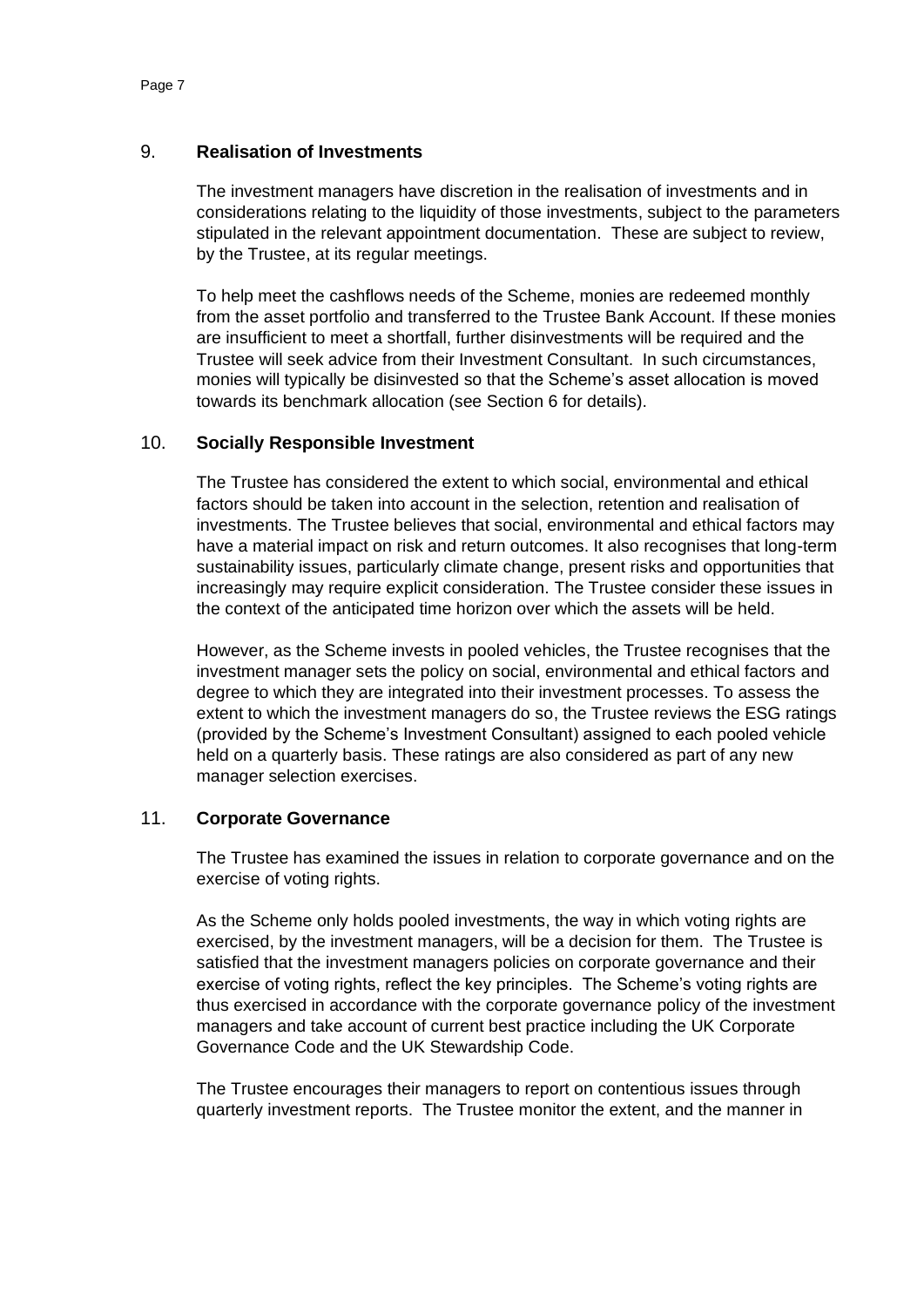## 9. **Realisation of Investments**

The investment managers have discretion in the realisation of investments and in considerations relating to the liquidity of those investments, subject to the parameters stipulated in the relevant appointment documentation. These are subject to review, by the Trustee, at its regular meetings.

To help meet the cashflows needs of the Scheme, monies are redeemed monthly from the asset portfolio and transferred to the Trustee Bank Account. If these monies are insufficient to meet a shortfall, further disinvestments will be required and the Trustee will seek advice from their Investment Consultant. In such circumstances, monies will typically be disinvested so that the Scheme's asset allocation is moved towards its benchmark allocation (see Section 6 for details).

## 10. **Socially Responsible Investment**

The Trustee has considered the extent to which social, environmental and ethical factors should be taken into account in the selection, retention and realisation of investments. The Trustee believes that social, environmental and ethical factors may have a material impact on risk and return outcomes. It also recognises that long-term sustainability issues, particularly climate change, present risks and opportunities that increasingly may require explicit consideration. The Trustee consider these issues in the context of the anticipated time horizon over which the assets will be held.

However, as the Scheme invests in pooled vehicles, the Trustee recognises that the investment manager sets the policy on social, environmental and ethical factors and degree to which they are integrated into their investment processes. To assess the extent to which the investment managers do so, the Trustee reviews the ESG ratings (provided by the Scheme's Investment Consultant) assigned to each pooled vehicle held on a quarterly basis. These ratings are also considered as part of any new manager selection exercises.

## 11. **Corporate Governance**

The Trustee has examined the issues in relation to corporate governance and on the exercise of voting rights.

As the Scheme only holds pooled investments, the way in which voting rights are exercised, by the investment managers, will be a decision for them. The Trustee is satisfied that the investment managers policies on corporate governance and their exercise of voting rights, reflect the key principles. The Scheme's voting rights are thus exercised in accordance with the corporate governance policy of the investment managers and take account of current best practice including the UK Corporate Governance Code and the UK Stewardship Code.

The Trustee encourages their managers to report on contentious issues through quarterly investment reports. The Trustee monitor the extent, and the manner in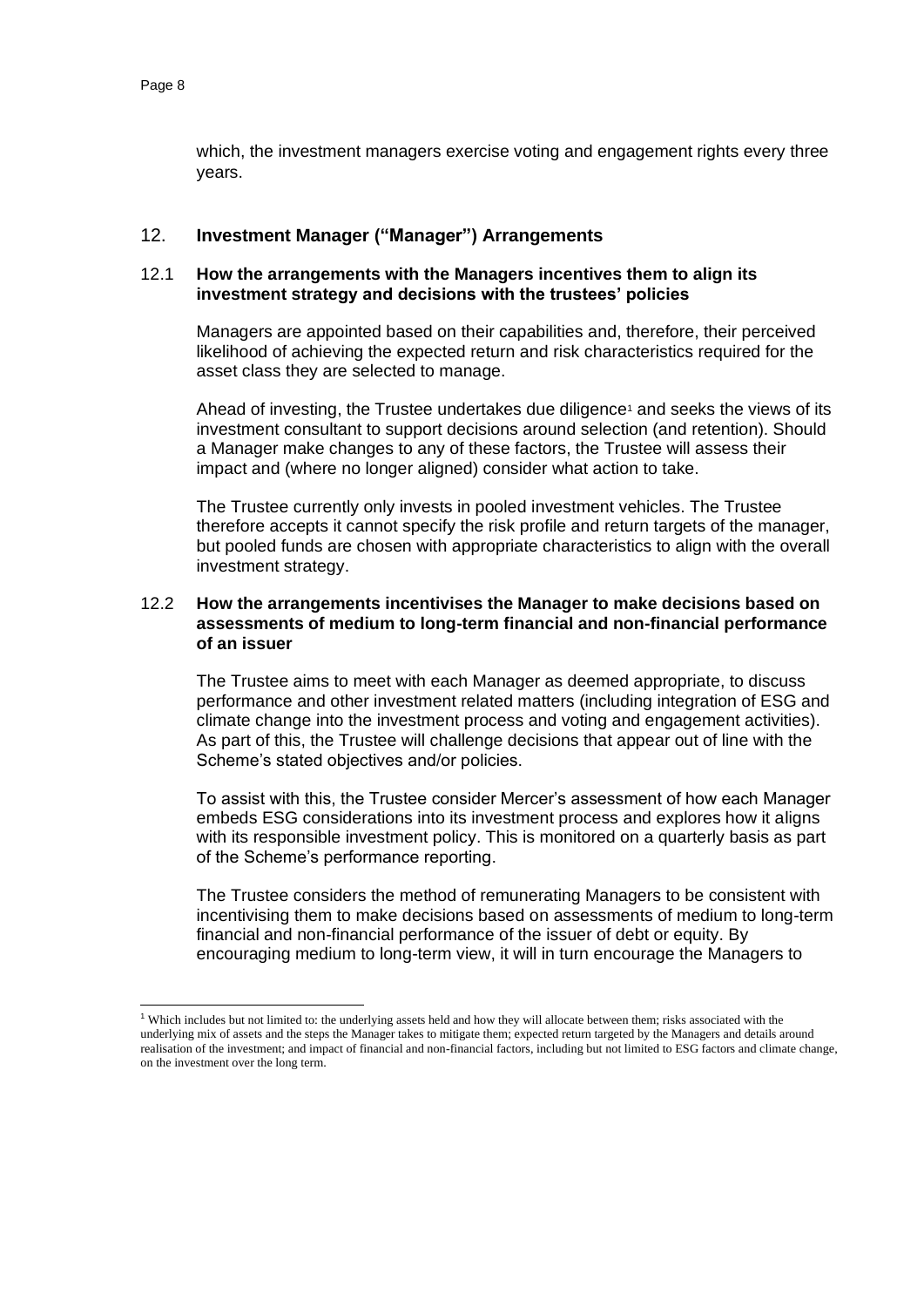which, the investment managers exercise voting and engagement rights every three years.

#### 12. **Investment Manager ("Manager") Arrangements**

#### 12.1 **How the arrangements with the Managers incentives them to align its investment strategy and decisions with the trustees' policies**

Managers are appointed based on their capabilities and, therefore, their perceived likelihood of achieving the expected return and risk characteristics required for the asset class they are selected to manage.

Ahead of investing, the Trustee undertakes due diligence<sup>1</sup> and seeks the views of its investment consultant to support decisions around selection (and retention). Should a Manager make changes to any of these factors, the Trustee will assess their impact and (where no longer aligned) consider what action to take.

The Trustee currently only invests in pooled investment vehicles. The Trustee therefore accepts it cannot specify the risk profile and return targets of the manager, but pooled funds are chosen with appropriate characteristics to align with the overall investment strategy.

#### 12.2 **How the arrangements incentivises the Manager to make decisions based on assessments of medium to long-term financial and non-financial performance of an issuer**

The Trustee aims to meet with each Manager as deemed appropriate, to discuss performance and other investment related matters (including integration of ESG and climate change into the investment process and voting and engagement activities). As part of this, the Trustee will challenge decisions that appear out of line with the Scheme's stated objectives and/or policies.

To assist with this, the Trustee consider Mercer's assessment of how each Manager embeds ESG considerations into its investment process and explores how it aligns with its responsible investment policy. This is monitored on a quarterly basis as part of the Scheme's performance reporting.

The Trustee considers the method of remunerating Managers to be consistent with incentivising them to make decisions based on assessments of medium to long-term financial and non-financial performance of the issuer of debt or equity. By encouraging medium to long-term view, it will in turn encourage the Managers to

<sup>&</sup>lt;sup>1</sup> Which includes but not limited to: the underlying assets held and how they will allocate between them; risks associated with the underlying mix of assets and the steps the Manager takes to mitigate them; expected return targeted by the Managers and details around realisation of the investment; and impact of financial and non-financial factors, including but not limited to ESG factors and climate change, on the investment over the long term.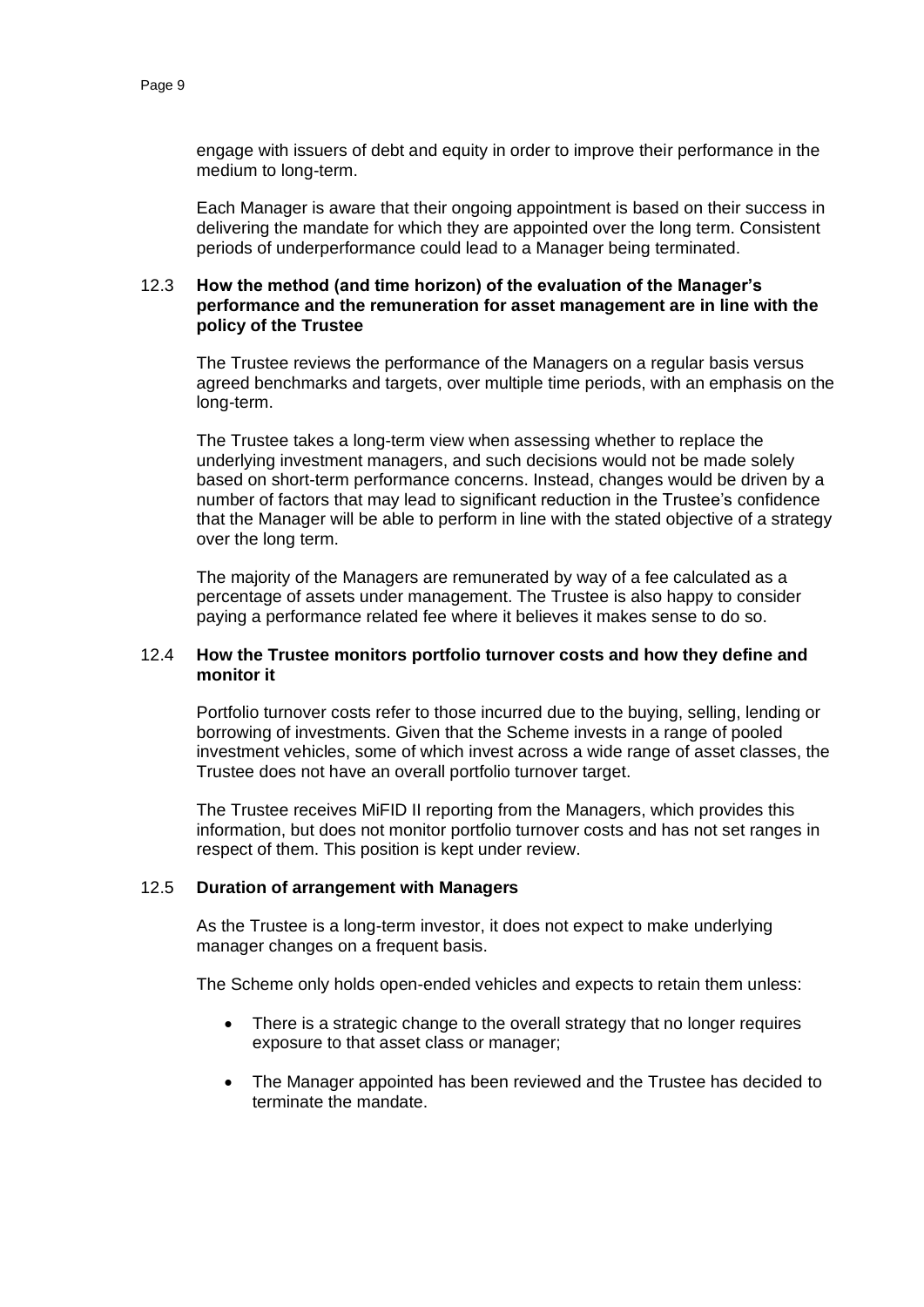engage with issuers of debt and equity in order to improve their performance in the medium to long-term.

Each Manager is aware that their ongoing appointment is based on their success in delivering the mandate for which they are appointed over the long term. Consistent periods of underperformance could lead to a Manager being terminated.

#### 12.3 **How the method (and time horizon) of the evaluation of the Manager's performance and the remuneration for asset management are in line with the policy of the Trustee**

The Trustee reviews the performance of the Managers on a regular basis versus agreed benchmarks and targets, over multiple time periods, with an emphasis on the long-term.

The Trustee takes a long-term view when assessing whether to replace the underlying investment managers, and such decisions would not be made solely based on short-term performance concerns. Instead, changes would be driven by a number of factors that may lead to significant reduction in the Trustee's confidence that the Manager will be able to perform in line with the stated objective of a strategy over the long term.

The majority of the Managers are remunerated by way of a fee calculated as a percentage of assets under management. The Trustee is also happy to consider paying a performance related fee where it believes it makes sense to do so.

#### 12.4 **How the Trustee monitors portfolio turnover costs and how they define and monitor it**

Portfolio turnover costs refer to those incurred due to the buying, selling, lending or borrowing of investments. Given that the Scheme invests in a range of pooled investment vehicles, some of which invest across a wide range of asset classes, the Trustee does not have an overall portfolio turnover target.

The Trustee receives MiFID II reporting from the Managers, which provides this information, but does not monitor portfolio turnover costs and has not set ranges in respect of them. This position is kept under review.

#### 12.5 **Duration of arrangement with Managers**

As the Trustee is a long-term investor, it does not expect to make underlying manager changes on a frequent basis.

The Scheme only holds open-ended vehicles and expects to retain them unless:

- There is a strategic change to the overall strategy that no longer requires exposure to that asset class or manager;
- The Manager appointed has been reviewed and the Trustee has decided to terminate the mandate.